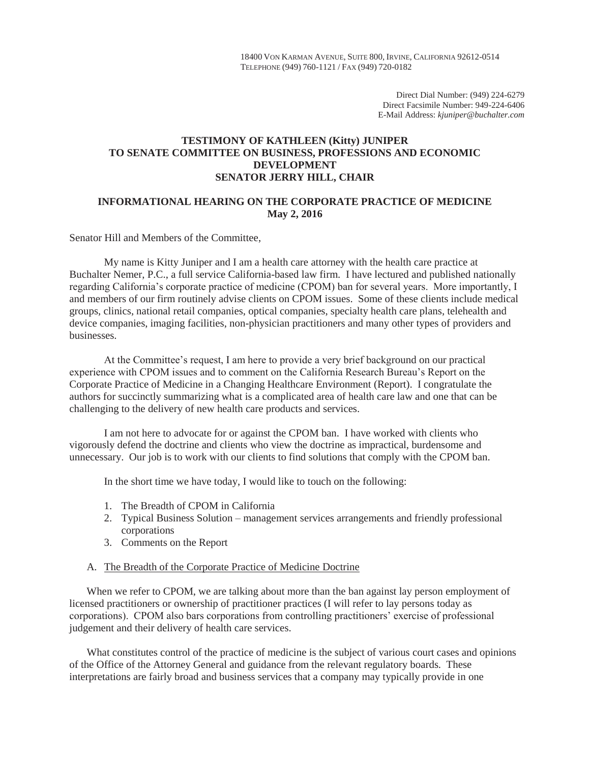18400 VON KARMAN AVENUE, SUITE 800, IRVINE, CALIFORNIA 92612-0514 TELEPHONE (949) 760-1121 / FAX (949) 720-0182

> Direct Dial Number: (949) 224-6279 Direct Facsimile Number: 949-224-6406 E-Mail Address: *kjuniper@buchalter.com*

# **TESTIMONY OF KATHLEEN (Kitty) JUNIPER TO SENATE COMMITTEE ON BUSINESS, PROFESSIONS AND ECONOMIC DEVELOPMENT SENATOR JERRY HILL, CHAIR**

# **INFORMATIONAL HEARING ON THE CORPORATE PRACTICE OF MEDICINE May 2, 2016**

## Senator Hill and Members of the Committee,

My name is Kitty Juniper and I am a health care attorney with the health care practice at Buchalter Nemer, P.C., a full service California-based law firm. I have lectured and published nationally regarding California's corporate practice of medicine (CPOM) ban for several years. More importantly, I and members of our firm routinely advise clients on CPOM issues. Some of these clients include medical groups, clinics, national retail companies, optical companies, specialty health care plans, telehealth and device companies, imaging facilities, non-physician practitioners and many other types of providers and businesses.

At the Committee's request, I am here to provide a very brief background on our practical experience with CPOM issues and to comment on the California Research Bureau's Report on the Corporate Practice of Medicine in a Changing Healthcare Environment (Report). I congratulate the authors for succinctly summarizing what is a complicated area of health care law and one that can be challenging to the delivery of new health care products and services.

I am not here to advocate for or against the CPOM ban. I have worked with clients who vigorously defend the doctrine and clients who view the doctrine as impractical, burdensome and unnecessary. Our job is to work with our clients to find solutions that comply with the CPOM ban.

In the short time we have today, I would like to touch on the following:

- 1. The Breadth of CPOM in California
- 2. Typical Business Solution management services arrangements and friendly professional corporations
- 3. Comments on the Report
- A. The Breadth of the Corporate Practice of Medicine Doctrine

When we refer to CPOM, we are talking about more than the ban against lay person employment of licensed practitioners or ownership of practitioner practices (I will refer to lay persons today as corporations). CPOM also bars corporations from controlling practitioners' exercise of professional judgement and their delivery of health care services.

What constitutes control of the practice of medicine is the subject of various court cases and opinions of the Office of the Attorney General and guidance from the relevant regulatory boards. These interpretations are fairly broad and business services that a company may typically provide in one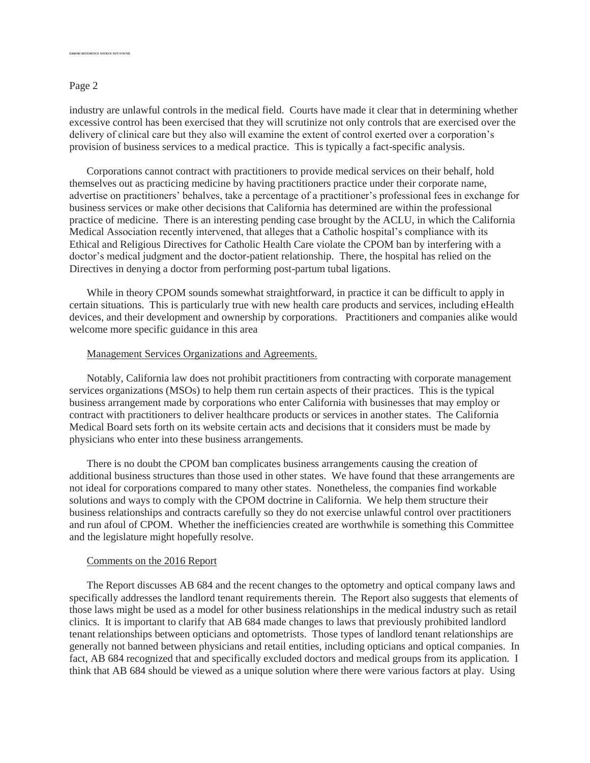### Page 2

**ERRERENCE SOURCE NOT FOUND.** 

industry are unlawful controls in the medical field. Courts have made it clear that in determining whether excessive control has been exercised that they will scrutinize not only controls that are exercised over the delivery of clinical care but they also will examine the extent of control exerted over a corporation's provision of business services to a medical practice. This is typically a fact-specific analysis.

Corporations cannot contract with practitioners to provide medical services on their behalf, hold themselves out as practicing medicine by having practitioners practice under their corporate name, advertise on practitioners' behalves, take a percentage of a practitioner's professional fees in exchange for business services or make other decisions that California has determined are within the professional practice of medicine. There is an interesting pending case brought by the ACLU, in which the California Medical Association recently intervened, that alleges that a Catholic hospital's compliance with its Ethical and Religious Directives for Catholic Health Care violate the CPOM ban by interfering with a doctor's medical judgment and the doctor-patient relationship. There, the hospital has relied on the Directives in denying a doctor from performing post-partum tubal ligations.

While in theory CPOM sounds somewhat straightforward, in practice it can be difficult to apply in certain situations. This is particularly true with new health care products and services, including eHealth devices, and their development and ownership by corporations. Practitioners and companies alike would welcome more specific guidance in this area

## Management Services Organizations and Agreements.

Notably, California law does not prohibit practitioners from contracting with corporate management services organizations (MSOs) to help them run certain aspects of their practices. This is the typical business arrangement made by corporations who enter California with businesses that may employ or contract with practitioners to deliver healthcare products or services in another states. The California Medical Board sets forth on its website certain acts and decisions that it considers must be made by physicians who enter into these business arrangements.

There is no doubt the CPOM ban complicates business arrangements causing the creation of additional business structures than those used in other states. We have found that these arrangements are not ideal for corporations compared to many other states. Nonetheless, the companies find workable solutions and ways to comply with the CPOM doctrine in California. We help them structure their business relationships and contracts carefully so they do not exercise unlawful control over practitioners and run afoul of CPOM. Whether the inefficiencies created are worthwhile is something this Committee and the legislature might hopefully resolve.

#### Comments on the 2016 Report

The Report discusses AB 684 and the recent changes to the optometry and optical company laws and specifically addresses the landlord tenant requirements therein. The Report also suggests that elements of those laws might be used as a model for other business relationships in the medical industry such as retail clinics. It is important to clarify that AB 684 made changes to laws that previously prohibited landlord tenant relationships between opticians and optometrists. Those types of landlord tenant relationships are generally not banned between physicians and retail entities, including opticians and optical companies. In fact, AB 684 recognized that and specifically excluded doctors and medical groups from its application. I think that AB 684 should be viewed as a unique solution where there were various factors at play. Using